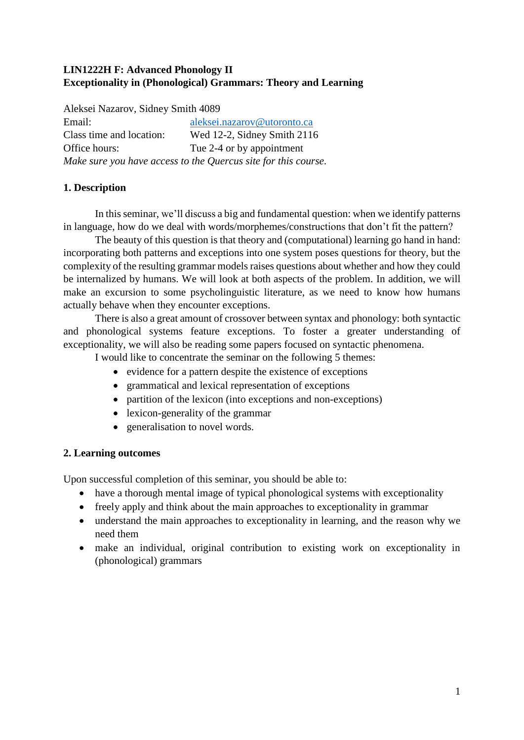# **LIN1222H F: Advanced Phonology II Exceptionality in (Phonological) Grammars: Theory and Learning**

| Aleksei Nazarov, Sidney Smith 4089 |                                                                |  |  |  |
|------------------------------------|----------------------------------------------------------------|--|--|--|
| Email:                             | aleksei.nazarov@utoronto.ca                                    |  |  |  |
| Class time and location:           | Wed 12-2, Sidney Smith 2116                                    |  |  |  |
| Office hours:                      | Tue 2-4 or by appointment                                      |  |  |  |
|                                    | Make sure you have access to the Quercus site for this course. |  |  |  |

# **1. Description**

In this seminar, we'll discuss a big and fundamental question: when we identify patterns in language, how do we deal with words/morphemes/constructions that don't fit the pattern?

The beauty of this question is that theory and (computational) learning go hand in hand: incorporating both patterns and exceptions into one system poses questions for theory, but the complexity of the resulting grammar models raises questions about whether and how they could be internalized by humans. We will look at both aspects of the problem. In addition, we will make an excursion to some psycholinguistic literature, as we need to know how humans actually behave when they encounter exceptions.

There is also a great amount of crossover between syntax and phonology: both syntactic and phonological systems feature exceptions. To foster a greater understanding of exceptionality, we will also be reading some papers focused on syntactic phenomena.

I would like to concentrate the seminar on the following 5 themes:

- evidence for a pattern despite the existence of exceptions
- grammatical and lexical representation of exceptions
- partition of the lexicon (into exceptions and non-exceptions)
- lexicon-generality of the grammar
- generalisation to novel words.

# **2. Learning outcomes**

Upon successful completion of this seminar, you should be able to:

- have a thorough mental image of typical phonological systems with exceptionality
- freely apply and think about the main approaches to exceptionality in grammar
- understand the main approaches to exceptionality in learning, and the reason why we need them
- make an individual, original contribution to existing work on exceptionality in (phonological) grammars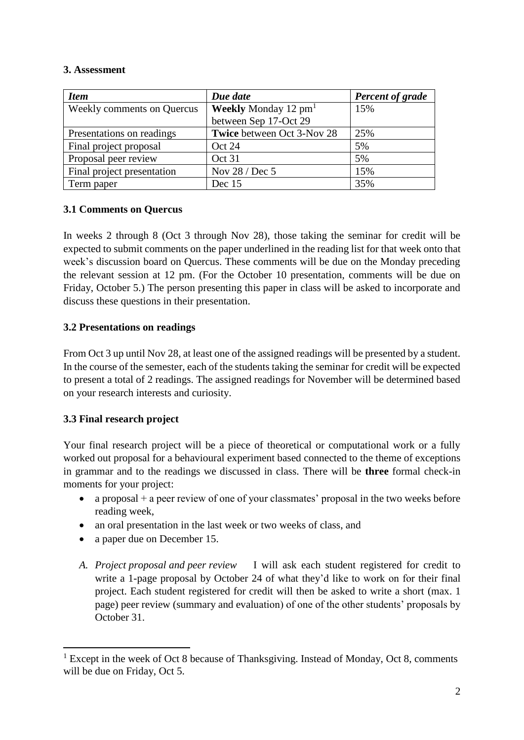## **3. Assessment**

| <b>Item</b>                       | Due date                      | <b>Percent of grade</b> |
|-----------------------------------|-------------------------------|-------------------------|
| <b>Weekly comments on Quercus</b> | <b>Weekly</b> Monday 12 $pm1$ | 15%                     |
|                                   | between Sep 17-Oct 29         |                         |
| Presentations on readings         | Twice between Oct 3-Nov 28    | 25%                     |
| Final project proposal            | Oct 24                        | 5%                      |
| Proposal peer review              | Oct 31                        | 5%                      |
| Final project presentation        | Nov 28 / Dec 5                | 15%                     |
| Term paper                        | Dec 15                        | 35%                     |

## **3.1 Comments on Quercus**

In weeks 2 through 8 (Oct 3 through Nov 28), those taking the seminar for credit will be expected to submit comments on the paper underlined in the reading list for that week onto that week's discussion board on Quercus. These comments will be due on the Monday preceding the relevant session at 12 pm. (For the October 10 presentation, comments will be due on Friday, October 5.) The person presenting this paper in class will be asked to incorporate and discuss these questions in their presentation.

## **3.2 Presentations on readings**

From Oct 3 up until Nov 28, at least one of the assigned readings will be presented by a student. In the course of the semester, each of the students taking the seminar for credit will be expected to present a total of 2 readings. The assigned readings for November will be determined based on your research interests and curiosity.

## **3.3 Final research project**

1

Your final research project will be a piece of theoretical or computational work or a fully worked out proposal for a behavioural experiment based connected to the theme of exceptions in grammar and to the readings we discussed in class. There will be **three** formal check-in moments for your project:

- a proposal  $+$  a peer review of one of your classmates' proposal in the two weeks before reading week,
- an oral presentation in the last week or two weeks of class, and
- a paper due on December 15.
- *A. Project proposal and peer review* I will ask each student registered for credit to write a 1-page proposal by October 24 of what they'd like to work on for their final project. Each student registered for credit will then be asked to write a short (max. 1 page) peer review (summary and evaluation) of one of the other students' proposals by October 31.

<sup>&</sup>lt;sup>1</sup> Except in the week of Oct 8 because of Thanksgiving. Instead of Monday, Oct 8, comments will be due on Friday, Oct 5.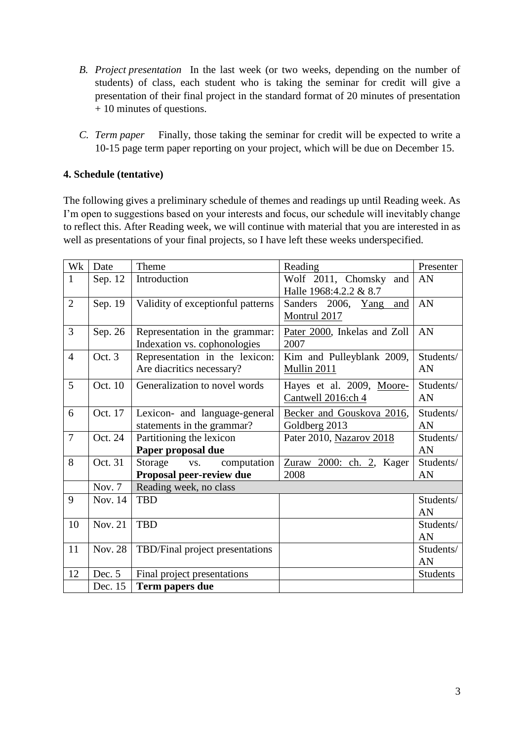- *B. Project presentation* In the last week (or two weeks, depending on the number of students) of class, each student who is taking the seminar for credit will give a presentation of their final project in the standard format of 20 minutes of presentation + 10 minutes of questions.
- *C. Term paper* Finally, those taking the seminar for credit will be expected to write a 10-15 page term paper reporting on your project, which will be due on December 15.

## **4. Schedule (tentative)**

The following gives a preliminary schedule of themes and readings up until Reading week. As I'm open to suggestions based on your interests and focus, our schedule will inevitably change to reflect this. After Reading week, we will continue with material that you are interested in as well as presentations of your final projects, so I have left these weeks underspecified.

| Wk             | Date           | Theme                                                       | Reading                                         | Presenter       |
|----------------|----------------|-------------------------------------------------------------|-------------------------------------------------|-----------------|
| $\mathbf{1}$   | Sep. 12        | Introduction                                                | Wolf 2011, Chomsky and                          | AN              |
| $\overline{2}$ |                |                                                             | Halle 1968:4.2.2 & 8.7                          |                 |
|                | Sep. 19        | Validity of exceptionful patterns                           | Sanders 2006,<br>Yang<br>and<br>Montrul 2017    | AN              |
| 3              | Sep. 26        | Representation in the grammar:                              | Pater 2000, Inkelas and Zoll                    | AN              |
|                |                | Indexation vs. cophonologies                                | 2007                                            |                 |
| $\overline{4}$ | Oct. 3         | Representation in the lexicon:<br>Are diacritics necessary? | Kim and Pulleyblank 2009,<br>Mullin 2011        | Students/<br>AN |
| 5              | Oct. 10        | Generalization to novel words                               | Hayes et al. 2009, Moore-<br>Cantwell 2016:ch 4 | Students/<br>AN |
| 6              | Oct. 17        | Lexicon- and language-general<br>statements in the grammar? | Becker and Gouskova 2016,<br>Goldberg 2013      | Students/<br>AN |
| $\overline{7}$ | Oct. 24        | Partitioning the lexicon                                    | Pater 2010, Nazarov 2018                        | Students/       |
|                |                | Paper proposal due                                          |                                                 | AN              |
| 8              | Oct. 31        | Storage vs.<br>computation                                  | Zuraw 2000: ch. 2, Kager                        | Students/       |
|                |                | Proposal peer-review due                                    | 2008                                            | AN              |
|                | Nov. 7         | Reading week, no class                                      |                                                 |                 |
| 9              | Nov. 14        | <b>TBD</b>                                                  |                                                 | Students/       |
|                |                |                                                             |                                                 | AN              |
| 10             | <b>Nov. 21</b> | <b>TBD</b>                                                  |                                                 | Students/       |
|                |                |                                                             |                                                 | AN              |
| 11             | <b>Nov. 28</b> | TBD/Final project presentations                             |                                                 | Students/       |
|                |                |                                                             |                                                 | AN              |
| 12             | Dec. 5         | Final project presentations                                 |                                                 | <b>Students</b> |
|                | Dec. 15        | Term papers due                                             |                                                 |                 |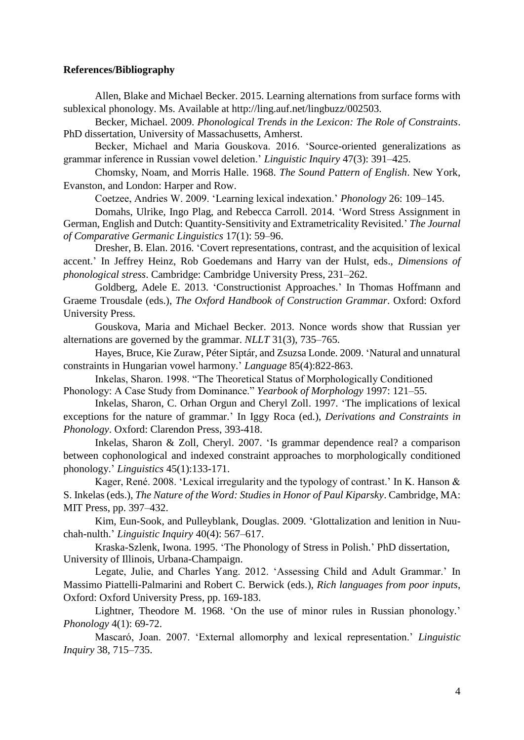#### **References/Bibliography**

Allen, Blake and Michael Becker. 2015. Learning alternations from surface forms with sublexical phonology. Ms. Available at http://ling.auf.net/lingbuzz/002503.

Becker, Michael. 2009. *Phonological Trends in the Lexicon: The Role of Constraints*. PhD dissertation, University of Massachusetts, Amherst.

Becker, Michael and Maria Gouskova. 2016. 'Source-oriented generalizations as grammar inference in Russian vowel deletion.' *Linguistic Inquiry* 47(3): 391–425.

Chomsky, Noam, and Morris Halle. 1968. *The Sound Pattern of English*. New York, Evanston, and London: Harper and Row.

Coetzee, Andries W. 2009. 'Learning lexical indexation.' *Phonology* 26: 109–145.

Domahs, Ulrike, Ingo Plag, and Rebecca Carroll. 2014. 'Word Stress Assignment in German, English and Dutch: Quantity-Sensitivity and Extrametricality Revisited.' *The Journal of Comparative Germanic Linguistics* 17(1): 59–96.

Dresher, B. Elan. 2016. 'Covert representations, contrast, and the acquisition of lexical accent.' In Jeffrey Heinz, Rob Goedemans and Harry van der Hulst, eds., *Dimensions of phonological stress*. Cambridge: Cambridge University Press, 231–262.

Goldberg, Adele E. 2013. 'Constructionist Approaches.' In Thomas Hoffmann and Graeme Trousdale (eds.), *The Oxford Handbook of Construction Grammar*. Oxford: Oxford University Press.

Gouskova, Maria and Michael Becker. 2013. Nonce words show that Russian yer alternations are governed by the grammar. *NLLT* 31(3), 735–765.

Hayes, Bruce, Kie Zuraw, Péter Siptár, and Zsuzsa Londe. 2009. 'Natural and unnatural constraints in Hungarian vowel harmony.' *Language* 85(4):822-863.

Inkelas, Sharon. 1998. "The Theoretical Status of Morphologically Conditioned Phonology: A Case Study from Dominance." *Yearbook of Morphology* 1997: 121–55.

Inkelas, Sharon, C. Orhan Orgun and Cheryl Zoll. 1997. 'The implications of lexical exceptions for the nature of grammar.' In Iggy Roca (ed.), *Derivations and Constraints in Phonology*. Oxford: Clarendon Press, 393-418.

Inkelas, Sharon & Zoll, Cheryl. 2007. 'Is grammar dependence real? a comparison between cophonological and indexed constraint approaches to morphologically conditioned phonology.' *Linguistics* 45(1):133-171.

Kager, René. 2008. 'Lexical irregularity and the typology of contrast.' In K. Hanson & S. Inkelas (eds.), *The Nature of the Word: Studies in Honor of Paul Kiparsky*. Cambridge, MA: MIT Press, pp. 397–432.

Kim, Eun-Sook, and Pulleyblank, Douglas. 2009. 'Glottalization and lenition in Nuuchah-nulth.' *Linguistic Inquiry* 40(4): 567–617.

Kraska-Szlenk, Iwona. 1995. 'The Phonology of Stress in Polish.' PhD dissertation, University of Illinois, Urbana-Champaign.

Legate, Julie, and Charles Yang. 2012. 'Assessing Child and Adult Grammar.' In Massimo Piattelli-Palmarini and Robert C. Berwick (eds.), *Rich languages from poor inputs*, Oxford: Oxford University Press, pp. 169-183.

Lightner, Theodore M. 1968. 'On the use of minor rules in Russian phonology.' *Phonology* 4(1): 69-72.

Mascaró, Joan. 2007. 'External allomorphy and lexical representation.' *Linguistic Inquiry* 38, 715–735.